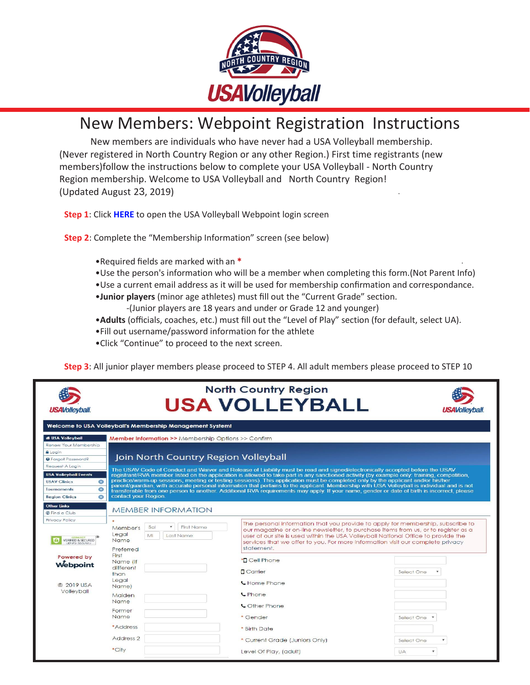

# New Members: Webpoint Registration Instructions

New members are individuals who have never had a USA Volleyball membership. (Never registered in North Country Region or any other Region.) First time registrants (new members)follow the instructions below to complete your USA Volleyball - North Country Region membership. Welcome to USA Volleyball and North Country Region! (Updated August 23, 2019) .

**Step 1**: Click **[HERE](https://webpoint.usavolleyball.org/wp/memberships/join.wp?mbr_ChapterID=25972)** to open the USA Volleyball Webpoint login screen

**Step 2**: Complete the "Membership Information" screen (see below)

- •Required fields are marked with an **\*** .
- •Use the person's information who will be a member when completing this form.(Not Parent Info)
- •Use a current email address as it will be used for membership confirmation and correspondance.
- •**Junior players** (minor age athletes) must fill out the "Current Grade" section.
	- -(Junior players are 18 years and under or Grade 12 and younger)
- •**Adults** (officials, coaches, etc.) must fill out the "Level of Play" section (for default, select UA).
- •Fill out username/password information for the athlete
- •Click "Continue" to proceed to the next screen.

**Step 3**: All junior player members please proceed to STEP 4. All adult members please proceed to STEP 10

| <b>USAVolleyball.</b>                                                                                                   |                                                                                                                                                                                                                                                                                                                                                                                                                                                                                                                                                                                                                                                                                                                                                                              | <b>North Country Region</b><br><b>USA VOLLEYBALL</b>                                                                                                                                                                                                                                                                                                       | USAVollevball.                          |
|-------------------------------------------------------------------------------------------------------------------------|------------------------------------------------------------------------------------------------------------------------------------------------------------------------------------------------------------------------------------------------------------------------------------------------------------------------------------------------------------------------------------------------------------------------------------------------------------------------------------------------------------------------------------------------------------------------------------------------------------------------------------------------------------------------------------------------------------------------------------------------------------------------------|------------------------------------------------------------------------------------------------------------------------------------------------------------------------------------------------------------------------------------------------------------------------------------------------------------------------------------------------------------|-----------------------------------------|
|                                                                                                                         | Welcome to USA Volleyball's Membership Management System!                                                                                                                                                                                                                                                                                                                                                                                                                                                                                                                                                                                                                                                                                                                    |                                                                                                                                                                                                                                                                                                                                                            |                                         |
| <b># USA Volleyball</b>                                                                                                 | <b>Member Information &gt;&gt;</b> Membership Options >> Confirm                                                                                                                                                                                                                                                                                                                                                                                                                                                                                                                                                                                                                                                                                                             |                                                                                                                                                                                                                                                                                                                                                            |                                         |
| Renew Your Membership<br><b>A</b> Login<br><b>O</b> Forgot Password?<br>Request A Login<br><b>USA Volleyball Events</b> | Join North Country Region Volleyball<br>The USAV Code of Conduct and Waiver and Release of Liability must be read and signed/electronically accepted before the USAV<br>registrant/RVA member listed on the application is allowed to take part in any sanctioned activity (by example only: training, competition,<br>practice/warm-up sessions, meeting or testing sessions). This application must be completed only by the applicant and/or his/her<br>parent/guardian, with accurate personal information that pertains to the applicant. Membership with USA Volleyball is individual and is not<br>transferable from one person to another. Additional RVA requirements may apply. If your name, gender or date of birth is incorrect, please<br>contact your Region. |                                                                                                                                                                                                                                                                                                                                                            |                                         |
| $\bullet$<br><b>USAV Clinics</b><br><b>Tournaments</b><br>$\bullet$<br>$\bigoplus$<br><b>Region Clinics</b>             |                                                                                                                                                                                                                                                                                                                                                                                                                                                                                                                                                                                                                                                                                                                                                                              |                                                                                                                                                                                                                                                                                                                                                            |                                         |
| <b>Other Links</b><br>@ Find a Club                                                                                     | <b>MEMBER INFORMATION</b>                                                                                                                                                                                                                                                                                                                                                                                                                                                                                                                                                                                                                                                                                                                                                    |                                                                                                                                                                                                                                                                                                                                                            |                                         |
| Privacy Policy<br><b>GODADO</b><br><b>VERIFIED &amp; SECURED</b>                                                        | First Name<br>Sal<br>Member's<br>Legal<br>MI<br>Last Name<br>Name<br>Preferred                                                                                                                                                                                                                                                                                                                                                                                                                                                                                                                                                                                                                                                                                               | The personal information that you provide to apply for membership, subscribe to<br>our magazine or on-line newsletter, to purchase items from us, or to register as a<br>user of our site is used within the USA Volleyball National Office to provide the<br>services that we offer to you. For more information visit our complete privacy<br>statement. |                                         |
| Powered by<br>Webpoint                                                                                                  | First<br>Name (If<br>different<br>than                                                                                                                                                                                                                                                                                                                                                                                                                                                                                                                                                                                                                                                                                                                                       | *D Cell Phone<br><b>D</b> Carrier                                                                                                                                                                                                                                                                                                                          | Select One<br>$\boldsymbol{\mathrm{v}}$ |
| @ 2019 USA<br>Volleyball                                                                                                | Leagl<br>Name)<br>Maiden<br>Name<br>Former<br>Name<br>*Address                                                                                                                                                                                                                                                                                                                                                                                                                                                                                                                                                                                                                                                                                                               | <b>L</b> Home Phone<br><b>L</b> Phone<br>Cother Phone<br>* Gender                                                                                                                                                                                                                                                                                          | Select One                              |
|                                                                                                                         | Address 2<br>*City                                                                                                                                                                                                                                                                                                                                                                                                                                                                                                                                                                                                                                                                                                                                                           | * Birth Date<br>* Current Grade (Juniors Only)<br>Level Of Play, (adult)                                                                                                                                                                                                                                                                                   | Select One<br><b>UA</b>                 |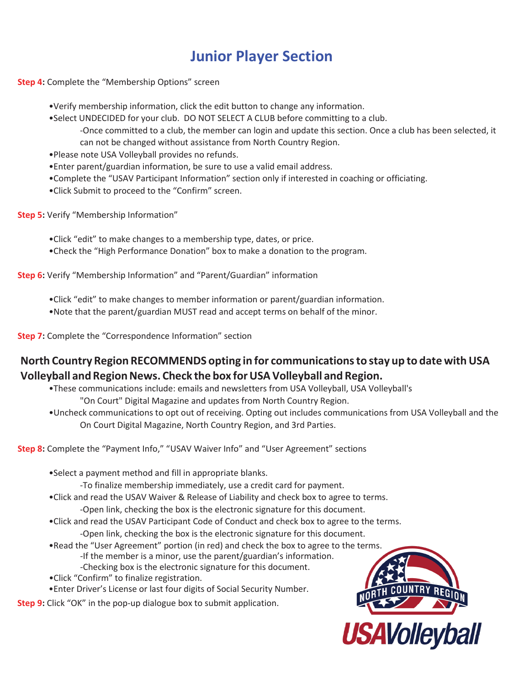## **Junior Player Section**

**Step 4:** Complete the "Membership Options" screen

•Verify membership information, click the edit button to change any information.

•Select UNDECIDED for your club. DO NOT SELECT A CLUB before committing to a club.

-Once committed to a club, the member can login and update this section. Once a club has been selected, it can not be changed without assistance from North Country Region.

•Please note USA Volleyball provides no refunds.

•Enter parent/guardian information, be sure to use a valid email address.

•Complete the "USAV Participant Information" section only if interested in coaching or officiating.

•Click Submit to proceed to the "Confirm" screen.

**Step 5:** Verify "Membership Information"

•Click "edit" to make changes to a membership type, dates, or price.

•Check the "High Performance Donation" box to make a donation to the program.

**Step 6:** Verify "Membership Information" and "Parent/Guardian" information

•Click "edit" to make changes to member information or parent/guardian information.

•Note that the parent/guardian MUST read and accept terms on behalf of the minor.

**Step 7:** Complete the "Correspondence Information" section

#### **North Country Region RECOMMENDS opting in for communicationsto stay up to date withUSA Volleyball andRegionNews. Check the box forUSAVolleyball and Region.**

•These communications include: emails and newsletters from USA Volleyball, USA Volleyball's "On Court" Digital Magazine and updates from North Country Region.

•Uncheck communications to opt out of receiving. Opting out includes communications from USA Volleyball and the On Court Digital Magazine, North Country Region, and 3rd Parties.

**Step 8:** Complete the "Payment Info," "USAV Waiver Info" and "User Agreement" sections

•Select a payment method and fill in appropriate blanks.

-To finalize membership immediately, use a credit card for payment.

•Click and read the USAV Waiver & Release of Liability and check box to agree to terms.

-Open link, checking the box is the electronic signature for this document.

•Click and read the USAV Participant Code of Conduct and check box to agree to the terms. -Open link, checking the box is the electronic signature for this document.

•Read the "User Agreement" portion (in red) and check the box to agree to the terms. -If the member is a minor, use the parent/guardian's information. -Checking box is the electronic signature for this document.

- •Click "Confirm" to finalize registration.
- •Enter Driver's License or last four digits of Social Security Number.

**Step 9:** Click "OK" in the pop-up dialogue box to submit application.

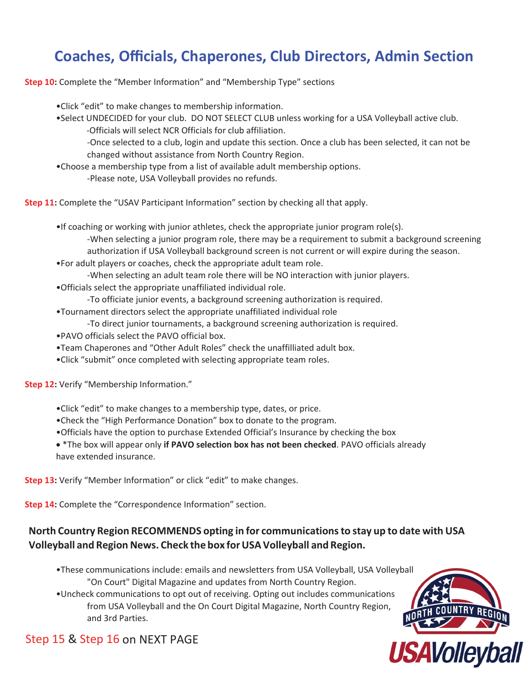## **Coaches, Officials, Chaperones, Club Directors, Admin Section**

**Step 10:** Complete the "Member Information" and "Membership Type" sections

- •Click "edit" to make changes to membership information.
- •Select UNDECIDED for your club. DO NOT SELECT CLUB unless working for a USA Volleyball active club.
	- -Officials will select NCR Officials for club affiliation.

-Once selected to a club, login and update this section. Once a club has been selected, it can not be changed without assistance from North Country Region.

- •Choose a membership type from a list of available adult membership options.
	- -Please note, USA Volleyball provides no refunds.

**Step 11:** Complete the "USAV Participant Information" section by checking all that apply.

- •If coaching or working with junior athletes, check the appropriate junior program role(s). -When selecting a junior program role, there may be a requirement to submit a background screening authorization if USA Volleyball background screen is not current or will expire during the season.
- •For adult players or coaches, check the appropriate adult team role.
	- -When selecting an adult team role there will be NO interaction with junior players.
- •Officials select the appropriate unaffiliated individual role.
	- -To officiate junior events, a background screening authorization is required.
- •Tournament directors select the appropriate unaffiliated individual role
	- -To direct junior tournaments, a background screening authorization is required.
- •PAVO officials select the PAVO official box.
- •Team Chaperones and "Other Adult Roles" check the unaffilliated adult box.
- •Click "submit" once completed with selecting appropriate team roles.

**Step 12:** Verify "Membership Information."

- •Click "edit" to make changes to a membership type, dates, or price.
- •Check the "High Performance Donation" box to donate to the program.
- •Officials have the option to purchase Extended Official's Insurance by checking the box

 \*The box will appear only **if PAVO selection box has not been checked**. PAVO officials already have extended insurance.

**Step 13:** Verify "Member Information" or click "edit" to make changes.

**Step 14:** Complete the "Correspondence Information" section.

#### **North Country Region RECOMMENDS opting in for communicationsto stay up to date with USA Volleyball and Region News. Check the box forUSAVolleyball and Region.**

- •These communications include: emails and newsletters from USA Volleyball, USA Volleyball "On Court" Digital Magazine and updates from North Country Region.
- •Uncheck communications to opt out of receiving. Opting out includes communications from USA Volleyball and the On Court Digital Magazine, North Country Region, and 3rd Parties.



### Step 15 & Step 16 on NEXT PAGE